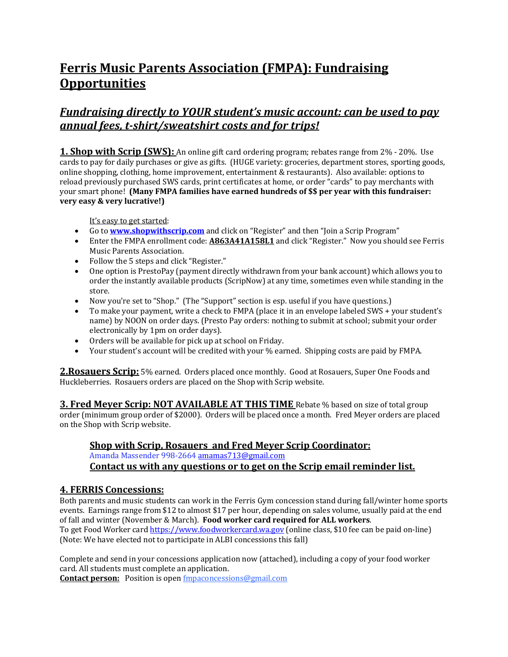# **Ferris Music Parents Association (FMPA): Fundraising Opportunities**

# *Fundraising directly to YOUR student's music account: can be used to pay annual fees, t-shirt/sweatshirt costs and for trips!*

**1. Shop with Scrip (SWS):** An online gift card ordering program; rebates range from 2% - 20%. Use cards to pay for daily purchases or give as gifts. (HUGE variety: groceries, department stores, sporting goods, online shopping, clothing, home improvement, entertainment & restaurants). Also available: options to reload previously purchased SWS cards, print certificates at home, or order "cards" to pay merchants with your smart phone! (Many FMPA families have earned hundreds of \$\$ per year with this fundraiser: **very easy & very lucrative!)**

It's easy to get started:

- Go to **www.shopwithscrip.com** and click on "Register" and then "Join a Scrip Program"
- Enter the FMPA enrollment code: **A863A41A158L1** and click "Register." Now you should see Ferris Music Parents Association.
- Follow the 5 steps and click "Register."
- One option is PrestoPay (payment directly withdrawn from your bank account) which allows you to order the instantly available products (ScripNow) at any time, sometimes even while standing in the store.
- Now you're set to "Shop." (The "Support" section is esp. useful if you have questions.)
- To make your payment, write a check to FMPA (place it in an envelope labeled SWS + your student's name) by NOON on order days. (Presto Pay orders: nothing to submit at school; submit your order electronically by 1pm on order days).
- Orders will be available for pick up at school on Friday.
- Your student's account will be credited with your % earned. Shipping costs are paid by FMPA.

2. Rosauers Scrip: 5% earned. Orders placed once monthly. Good at Rosauers, Super One Foods and Huckleberries. Rosauers orders are placed on the Shop with Scrip website.

**3. Fred Meyer Scrip: NOT AVAILABLE AT THIS TIME** Rebate % based on size of total group order (minimum group order of \$2000). Orders will be placed once a month. Fred Meyer orders are placed on the Shop with Scrip website.

#### **<u>Shop with Scrip, Rosauers and Fred Meyer Scrip Coordinator:</u>**

Amanda Massender 998-2664 amamas713@gmail.com

## Contact us with any questions or to get on the Scrip email reminder list.

#### **4. FERRIS Concessions:**

Both parents and music students can work in the Ferris Gym concession stand during fall/winter home sports events. Earnings range from \$12 to almost \$17 per hour, depending on sales volume, usually paid at the end of fall and winter (November & March). Food worker card required for ALL workers. To get Food Worker card https://www.foodworkercard.wa.gov (online class, \$10 fee can be paid on-line) (Note: We have elected not to participate in ALBI concessions this fall)

Complete and send in your concessions application now (attached), including a copy of your food worker card. All students must complete an application.

**Contact person:** Position is open **fmpaconcessions@gmail.com**